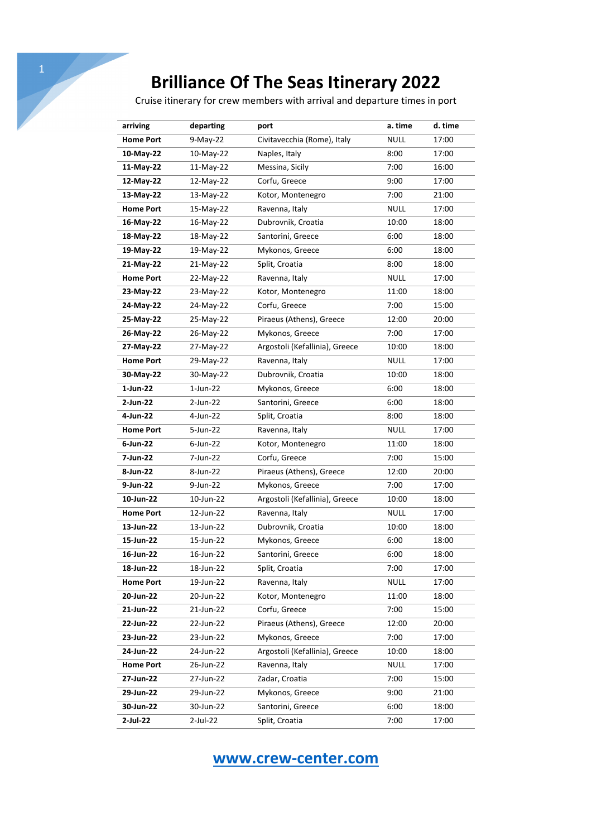Cruise itinerary for crew members with arrival and departure times in port

| arriving         | departing   | port                           | a. time     | d. time |
|------------------|-------------|--------------------------------|-------------|---------|
| <b>Home Port</b> | 9-May-22    | Civitavecchia (Rome), Italy    | <b>NULL</b> | 17:00   |
| 10-May-22        | 10-May-22   | Naples, Italy                  | 8:00        | 17:00   |
| 11-May-22        | 11-May-22   | Messina, Sicily                | 7:00        | 16:00   |
| 12-May-22        | 12-May-22   | Corfu, Greece                  | 9:00        | 17:00   |
| 13-May-22        | 13-May-22   | Kotor, Montenegro              | 7:00        | 21:00   |
| <b>Home Port</b> | 15-May-22   | Ravenna, Italy                 | NULL        | 17:00   |
| 16-May-22        | 16-May-22   | Dubrovnik, Croatia             | 10:00       | 18:00   |
| 18-May-22        | 18-May-22   | Santorini, Greece              | 6:00        | 18:00   |
| 19-May-22        | 19-May-22   | Mykonos, Greece                | 6:00        | 18:00   |
| 21-May-22        | 21-May-22   | Split, Croatia                 | 8:00        | 18:00   |
| <b>Home Port</b> | 22-May-22   | Ravenna, Italy                 | NULL        | 17:00   |
| 23-May-22        | 23-May-22   | Kotor, Montenegro              | 11:00       | 18:00   |
| 24-May-22        | 24-May-22   | Corfu, Greece                  | 7:00        | 15:00   |
| 25-May-22        | 25-May-22   | Piraeus (Athens), Greece       | 12:00       | 20:00   |
| 26-May-22        | 26-May-22   | Mykonos, Greece                | 7:00        | 17:00   |
| 27-May-22        | 27-May-22   | Argostoli (Kefallinia), Greece | 10:00       | 18:00   |
| <b>Home Port</b> | 29-May-22   | Ravenna, Italy                 | NULL        | 17:00   |
| 30-May-22        | 30-May-22   | Dubrovnik, Croatia             | 10:00       | 18:00   |
| 1-Jun-22         | $1$ -Jun-22 | Mykonos, Greece                | 6:00        | 18:00   |
| 2-Jun-22         | 2-Jun-22    | Santorini, Greece              | 6:00        | 18:00   |
| 4-Jun-22         | 4-Jun-22    | Split, Croatia                 | 8:00        | 18:00   |
| <b>Home Port</b> | 5-Jun-22    | Ravenna, Italy                 | <b>NULL</b> | 17:00   |
| $6$ -Jun-22      | $6$ -Jun-22 | Kotor, Montenegro              | 11:00       | 18:00   |
| 7-Jun-22         | 7-Jun-22    | Corfu, Greece                  | 7:00        | 15:00   |
| 8-Jun-22         | 8-Jun-22    | Piraeus (Athens), Greece       | 12:00       | 20:00   |
| 9-Jun-22         | 9-Jun-22    | Mykonos, Greece                | 7:00        | 17:00   |
| 10-Jun-22        | 10-Jun-22   | Argostoli (Kefallinia), Greece | 10:00       | 18:00   |
| <b>Home Port</b> | 12-Jun-22   | Ravenna, Italy                 | <b>NULL</b> | 17:00   |
| 13-Jun-22        | 13-Jun-22   | Dubrovnik, Croatia             | 10:00       | 18:00   |
| 15-Jun-22        | 15-Jun-22   | Mykonos, Greece                | 6:00        | 18:00   |
| 16-Jun-22        | 16-Jun-22   | Santorini, Greece              | 6:00        | 18:00   |
| 18-Jun-22        | 18-Jun-22   | Split, Croatia                 | 7:00        | 17:00   |
| <b>Home Port</b> | 19-Jun-22   | Ravenna, Italy                 | <b>NULL</b> | 17:00   |
| 20-Jun-22        | 20-Jun-22   | Kotor, Montenegro              | 11:00       | 18:00   |
| 21-Jun-22        | 21-Jun-22   | Corfu, Greece                  | 7:00        | 15:00   |
| 22-Jun-22        | 22-Jun-22   | Piraeus (Athens), Greece       | 12:00       | 20:00   |
| 23-Jun-22        | 23-Jun-22   | Mykonos, Greece                | 7:00        | 17:00   |
| 24-Jun-22        | 24-Jun-22   | Argostoli (Kefallinia), Greece | 10:00       | 18:00   |
| <b>Home Port</b> | 26-Jun-22   | Ravenna, Italy                 | <b>NULL</b> | 17:00   |
| 27-Jun-22        | 27-Jun-22   | Zadar, Croatia                 | 7:00        | 15:00   |
| 29-Jun-22        | 29-Jun-22   | Mykonos, Greece                | 9:00        | 21:00   |
| 30-Jun-22        | 30-Jun-22   | Santorini, Greece              | 6:00        | 18:00   |
| 2-Jul-22         | 2-Jul-22    | Split, Croatia                 | 7:00        | 17:00   |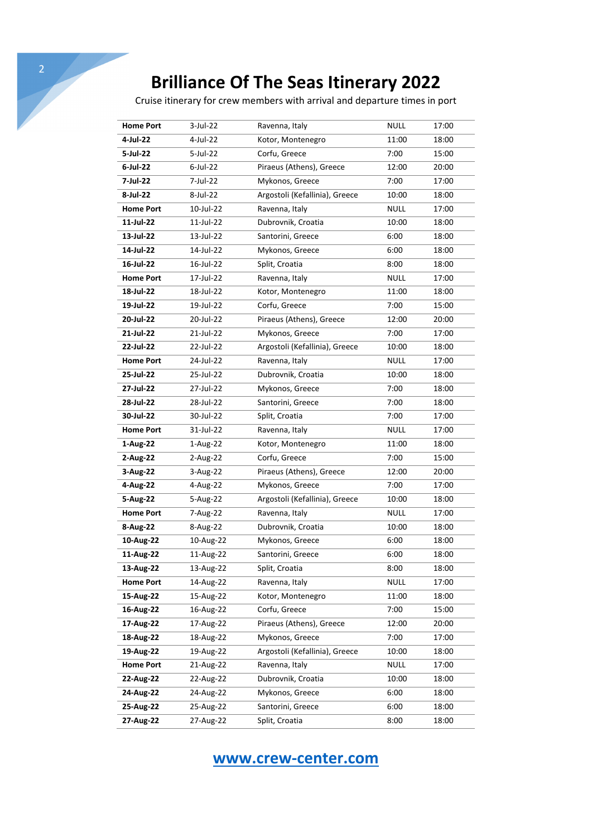Cruise itinerary for crew members with arrival and departure times in port

| <b>Home Port</b> | $3$ -Jul-22 | Ravenna, Italy                 | <b>NULL</b> | 17:00 |
|------------------|-------------|--------------------------------|-------------|-------|
| 4-Jul-22         | 4-Jul-22    | Kotor, Montenegro              | 11:00       | 18:00 |
| 5-Jul-22         | 5-Jul-22    | Corfu, Greece                  | 7:00        | 15:00 |
| $6$ -Jul-22      | $6$ -Jul-22 | Piraeus (Athens), Greece       | 12:00       | 20:00 |
| 7-Jul-22         | 7-Jul-22    | Mykonos, Greece                | 7:00        | 17:00 |
| 8-Jul-22         | 8-Jul-22    | Argostoli (Kefallinia), Greece | 10:00       | 18:00 |
| <b>Home Port</b> | 10-Jul-22   | Ravenna, Italy                 | <b>NULL</b> | 17:00 |
| 11-Jul-22        | 11-Jul-22   | Dubrovnik, Croatia             | 10:00       | 18:00 |
| 13-Jul-22        | 13-Jul-22   | Santorini, Greece              | 6:00        | 18:00 |
| 14-Jul-22        | 14-Jul-22   | Mykonos, Greece                | 6:00        | 18:00 |
| 16-Jul-22        | 16-Jul-22   | Split, Croatia                 | 8:00        | 18:00 |
| <b>Home Port</b> | 17-Jul-22   | Ravenna, Italy                 | <b>NULL</b> | 17:00 |
| 18-Jul-22        | 18-Jul-22   | Kotor, Montenegro              | 11:00       | 18:00 |
| 19-Jul-22        | 19-Jul-22   | Corfu, Greece                  | 7:00        | 15:00 |
| 20-Jul-22        | 20-Jul-22   | Piraeus (Athens), Greece       | 12:00       | 20:00 |
| 21-Jul-22        | 21-Jul-22   | Mykonos, Greece                | 7:00        | 17:00 |
| 22-Jul-22        | 22-Jul-22   | Argostoli (Kefallinia), Greece | 10:00       | 18:00 |
| <b>Home Port</b> | 24-Jul-22   | Ravenna, Italy                 | <b>NULL</b> | 17:00 |
| 25-Jul-22        | 25-Jul-22   | Dubrovnik, Croatia             | 10:00       | 18:00 |
| 27-Jul-22        | 27-Jul-22   | Mykonos, Greece                | 7:00        | 18:00 |
| 28-Jul-22        | 28-Jul-22   | Santorini, Greece              | 7:00        | 18:00 |
| 30-Jul-22        | 30-Jul-22   | Split, Croatia                 | 7:00        | 17:00 |
| <b>Home Port</b> | 31-Jul-22   | Ravenna, Italy                 | <b>NULL</b> | 17:00 |
| 1-Aug-22         | 1-Aug-22    | Kotor, Montenegro              | 11:00       | 18:00 |
| 2-Aug-22         | 2-Aug-22    | Corfu, Greece                  | 7:00        | 15:00 |
| 3-Aug-22         | 3-Aug-22    | Piraeus (Athens), Greece       | 12:00       | 20:00 |
| 4-Aug-22         | 4-Aug-22    | Mykonos, Greece                | 7:00        | 17:00 |
| 5-Aug-22         | 5-Aug-22    | Argostoli (Kefallinia), Greece | 10:00       | 18:00 |
| <b>Home Port</b> | 7-Aug-22    | Ravenna, Italy                 | <b>NULL</b> | 17:00 |
| 8-Aug-22         | 8-Aug-22    | Dubrovnik, Croatia             | 10:00       | 18:00 |
| 10-Aug-22        | 10-Aug-22   | Mykonos, Greece                | 6:00        | 18:00 |
| 11-Aug-22        | 11-Aug-22   | Santorini, Greece              | 6:00        | 18:00 |
| 13-Aug-22        | 13-Aug-22   | Split, Croatia                 | 8:00        | 18:00 |
| <b>Home Port</b> | 14-Aug-22   | Ravenna, Italy                 | <b>NULL</b> | 17:00 |
| 15-Aug-22        | 15-Aug-22   | Kotor, Montenegro              | 11:00       | 18:00 |
| 16-Aug-22        | 16-Aug-22   | Corfu, Greece                  | 7:00        | 15:00 |
| 17-Aug-22        | 17-Aug-22   | Piraeus (Athens), Greece       | 12:00       | 20:00 |
| 18-Aug-22        | 18-Aug-22   | Mykonos, Greece                | 7:00        | 17:00 |
| 19-Aug-22        | 19-Aug-22   | Argostoli (Kefallinia), Greece | 10:00       | 18:00 |
| <b>Home Port</b> | 21-Aug-22   | Ravenna, Italy                 | <b>NULL</b> | 17:00 |
| 22-Aug-22        | 22-Aug-22   | Dubrovnik, Croatia             | 10:00       | 18:00 |
| 24-Aug-22        | 24-Aug-22   | Mykonos, Greece                | 6:00        | 18:00 |
| 25-Aug-22        | 25-Aug-22   | Santorini, Greece              | 6:00        | 18:00 |
| 27-Aug-22        | 27-Aug-22   | Split, Croatia                 | 8:00        | 18:00 |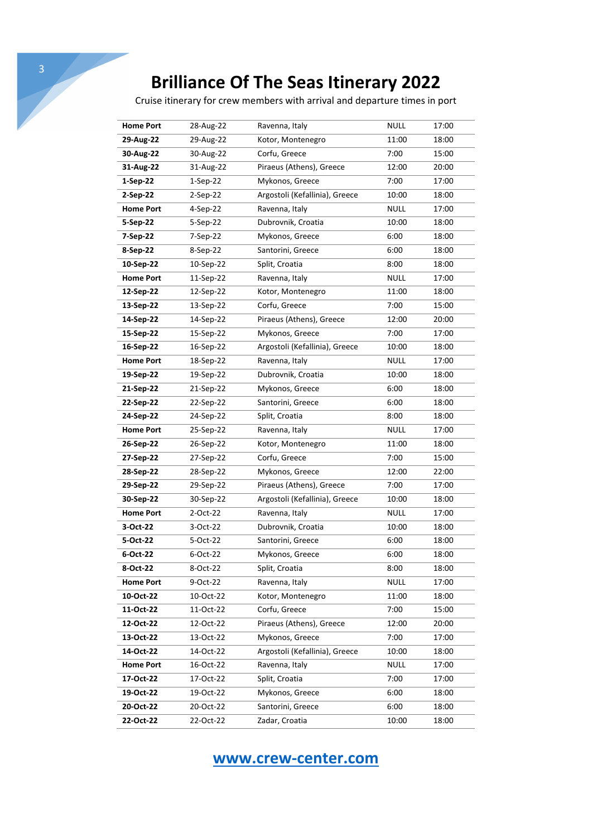Cruise itinerary for crew members with arrival and departure times in port

| <b>Home Port</b> | 28-Aug-22  | Ravenna, Italy                 | <b>NULL</b> | 17:00 |
|------------------|------------|--------------------------------|-------------|-------|
| 29-Aug-22        | 29-Aug-22  | Kotor, Montenegro              | 11:00       | 18:00 |
| 30-Aug-22        | 30-Aug-22  | Corfu, Greece                  | 7:00        | 15:00 |
| 31-Aug-22        | 31-Aug-22  | Piraeus (Athens), Greece       | 12:00       | 20:00 |
| $1-Sep-22$       | $1-Sep-22$ | Mykonos, Greece                | 7:00        | 17:00 |
| 2-Sep-22         | 2-Sep-22   | Argostoli (Kefallinia), Greece | 10:00       | 18:00 |
| <b>Home Port</b> | 4-Sep-22   | Ravenna, Italy                 | <b>NULL</b> | 17:00 |
| 5-Sep-22         | 5-Sep-22   | Dubrovnik, Croatia             | 10:00       | 18:00 |
| 7-Sep-22         | 7-Sep-22   | Mykonos, Greece                | 6:00        | 18:00 |
| 8-Sep-22         | 8-Sep-22   | Santorini, Greece              | 6:00        | 18:00 |
| 10-Sep-22        | 10-Sep-22  | Split, Croatia                 | 8:00        | 18:00 |
| <b>Home Port</b> | 11-Sep-22  | Ravenna, Italy                 | <b>NULL</b> | 17:00 |
| 12-Sep-22        | 12-Sep-22  | Kotor, Montenegro              | 11:00       | 18:00 |
| 13-Sep-22        | 13-Sep-22  | Corfu, Greece                  | 7:00        | 15:00 |
| 14-Sep-22        | 14-Sep-22  | Piraeus (Athens), Greece       | 12:00       | 20:00 |
| 15-Sep-22        | 15-Sep-22  | Mykonos, Greece                | 7:00        | 17:00 |
| 16-Sep-22        | 16-Sep-22  | Argostoli (Kefallinia), Greece | 10:00       | 18:00 |
| <b>Home Port</b> | 18-Sep-22  | Ravenna, Italy                 | <b>NULL</b> | 17:00 |
| 19-Sep-22        | 19-Sep-22  | Dubrovnik, Croatia             | 10:00       | 18:00 |
| 21-Sep-22        | 21-Sep-22  | Mykonos, Greece                | 6:00        | 18:00 |
| 22-Sep-22        | 22-Sep-22  | Santorini, Greece              | 6:00        | 18:00 |
| 24-Sep-22        | 24-Sep-22  | Split, Croatia                 | 8:00        | 18:00 |
| <b>Home Port</b> | 25-Sep-22  | Ravenna, Italy                 | <b>NULL</b> | 17:00 |
| 26-Sep-22        | 26-Sep-22  | Kotor, Montenegro              | 11:00       | 18:00 |
| 27-Sep-22        | 27-Sep-22  | Corfu, Greece                  | 7:00        | 15:00 |
| 28-Sep-22        | 28-Sep-22  | Mykonos, Greece                | 12:00       | 22:00 |
| 29-Sep-22        | 29-Sep-22  | Piraeus (Athens), Greece       | 7:00        | 17:00 |
| 30-Sep-22        | 30-Sep-22  | Argostoli (Kefallinia), Greece | 10:00       | 18:00 |
| <b>Home Port</b> | 2-Oct-22   | Ravenna, Italy                 | <b>NULL</b> | 17:00 |
| 3-Oct-22         | 3-Oct-22   | Dubrovnik, Croatia             | 10:00       | 18:00 |
| 5-Oct-22         | 5-Oct-22   | Santorini, Greece              | 6:00        | 18:00 |
| 6-Oct-22         | 6-Oct-22   | Mykonos, Greece                | 6:00        | 18:00 |
| 8-Oct-22         | 8-Oct-22   | Split, Croatia                 | 8:00        | 18:00 |
| <b>Home Port</b> | 9-Oct-22   | Ravenna, Italy                 | <b>NULL</b> | 17:00 |
| 10-Oct-22        | 10-Oct-22  | Kotor, Montenegro              | 11:00       | 18:00 |
| 11-Oct-22        | 11-Oct-22  | Corfu, Greece                  | 7:00        | 15:00 |
| 12-Oct-22        | 12-Oct-22  | Piraeus (Athens), Greece       | 12:00       | 20:00 |
| 13-Oct-22        | 13-Oct-22  | Mykonos, Greece                | 7:00        | 17:00 |
| 14-Oct-22        | 14-Oct-22  | Argostoli (Kefallinia), Greece | 10:00       | 18:00 |
| <b>Home Port</b> | 16-Oct-22  | Ravenna, Italy                 | <b>NULL</b> | 17:00 |
| 17-Oct-22        | 17-Oct-22  | Split, Croatia                 | 7:00        | 17:00 |
| 19-Oct-22        | 19-Oct-22  | Mykonos, Greece                | 6:00        | 18:00 |
| 20-Oct-22        | 20-Oct-22  | Santorini, Greece              | 6:00        | 18:00 |
| 22-Oct-22        | 22-Oct-22  | Zadar, Croatia                 | 10:00       | 18:00 |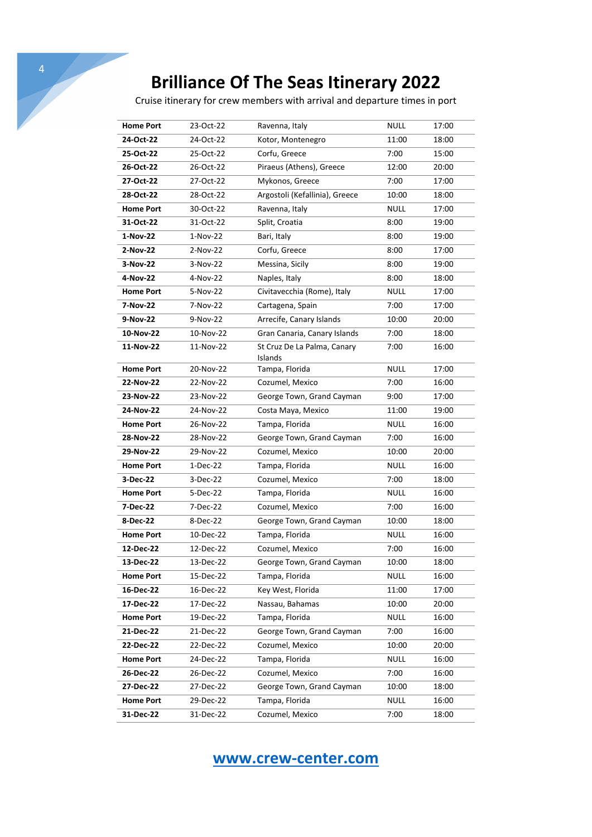4

Cruise itinerary for crew members with arrival and departure times in port

| <b>Home Port</b> | 23-Oct-22              | Ravenna, Italy                 | <b>NULL</b> | 17:00 |
|------------------|------------------------|--------------------------------|-------------|-------|
| 24-Oct-22        | 24-Oct-22              | Kotor, Montenegro              | 11:00       | 18:00 |
| 25-Oct-22        | 25-Oct-22              | Corfu, Greece                  | 7:00        | 15:00 |
| 26-Oct-22        | 26-Oct-22              | Piraeus (Athens), Greece       | 12:00       | 20:00 |
| 27-Oct-22        | 27-Oct-22              | Mykonos, Greece                | 7:00        | 17:00 |
| 28-Oct-22        | 28-Oct-22              | Argostoli (Kefallinia), Greece | 10:00       | 18:00 |
| <b>Home Port</b> | 30-Oct-22              | Ravenna, Italy                 | <b>NULL</b> | 17:00 |
| 31-Oct-22        | 31-Oct-22              | Split, Croatia                 | 8:00        | 19:00 |
| 1-Nov-22         | 1-Nov-22               | Bari, Italy                    | 8:00        | 19:00 |
| 2-Nov-22         | 2-Nov-22               | Corfu, Greece                  | 8:00        | 17:00 |
| 3-Nov-22         | 3-Nov-22               | Messina, Sicily                | 8:00        | 19:00 |
| 4-Nov-22         | 4-Nov-22               | Naples, Italy                  | 8:00        | 18:00 |
| <b>Home Port</b> | 5-Nov-22               | Civitavecchia (Rome), Italy    | <b>NULL</b> | 17:00 |
| 7-Nov-22         | 7-Nov-22               | Cartagena, Spain               | 7:00        | 17:00 |
| 9-Nov-22         | 9-Nov-22               | Arrecife, Canary Islands       | 10:00       | 20:00 |
| 10-Nov-22        | 10-Nov-22              | Gran Canaria, Canary Islands   | 7:00        | 18:00 |
| 11-Nov-22        | 11-Nov-22              | St Cruz De La Palma, Canary    | 7:00        | 16:00 |
|                  |                        | Islands                        | <b>NULL</b> | 17:00 |
| <b>Home Port</b> | 20-Nov-22<br>22-Nov-22 | Tampa, Florida                 | 7:00        |       |
| 22-Nov-22        |                        | Cozumel, Mexico                |             | 16:00 |
| 23-Nov-22        | 23-Nov-22              | George Town, Grand Cayman      | 9:00        | 17:00 |
| 24-Nov-22        | 24-Nov-22              | Costa Maya, Mexico             | 11:00       | 19:00 |
| <b>Home Port</b> | 26-Nov-22              | Tampa, Florida                 | <b>NULL</b> | 16:00 |
| 28-Nov-22        | 28-Nov-22              | George Town, Grand Cayman      | 7:00        | 16:00 |
| 29-Nov-22        | 29-Nov-22              | Cozumel, Mexico                | 10:00       | 20:00 |
| <b>Home Port</b> | 1-Dec-22               | Tampa, Florida                 | <b>NULL</b> | 16:00 |
| 3-Dec-22         | 3-Dec-22               | Cozumel, Mexico                | 7:00        | 18:00 |
| <b>Home Port</b> | 5-Dec-22               | Tampa, Florida                 | <b>NULL</b> | 16:00 |
| 7-Dec-22         | 7-Dec-22               | Cozumel, Mexico                | 7:00        | 16:00 |
| 8-Dec-22         | 8-Dec-22               | George Town, Grand Cayman      | 10:00       | 18:00 |
| <b>Home Port</b> | 10-Dec-22              | Tampa, Florida                 | NULL        | 16:00 |
| 12-Dec-22        | 12-Dec-22              | Cozumel, Mexico                | 7:00        | 16:00 |
| 13-Dec-22        | 13-Dec-22              | George Town, Grand Cayman      | 10:00       | 18:00 |
| Home Port        | 15-Dec-22              | Tampa, Florida                 | <b>NULL</b> | 16:00 |
| 16-Dec-22        | 16-Dec-22              | Key West, Florida              | 11:00       | 17:00 |
| 17-Dec-22        | 17-Dec-22              | Nassau, Bahamas                | 10:00       | 20:00 |
| <b>Home Port</b> | 19-Dec-22              | Tampa, Florida                 | <b>NULL</b> | 16:00 |
| 21-Dec-22        | 21-Dec-22              | George Town, Grand Cayman      | 7:00        | 16:00 |
| 22-Dec-22        | 22-Dec-22              | Cozumel, Mexico                | 10:00       | 20:00 |
| <b>Home Port</b> | 24-Dec-22              | Tampa, Florida                 | <b>NULL</b> | 16:00 |
| 26-Dec-22        | 26-Dec-22              | Cozumel, Mexico                | 7:00        | 16:00 |
| 27-Dec-22        | 27-Dec-22              | George Town, Grand Cayman      | 10:00       | 18:00 |
| <b>Home Port</b> | 29-Dec-22              | Tampa, Florida                 | <b>NULL</b> | 16:00 |
| 31-Dec-22        | 31-Dec-22              | Cozumel, Mexico                | 7:00        | 18:00 |